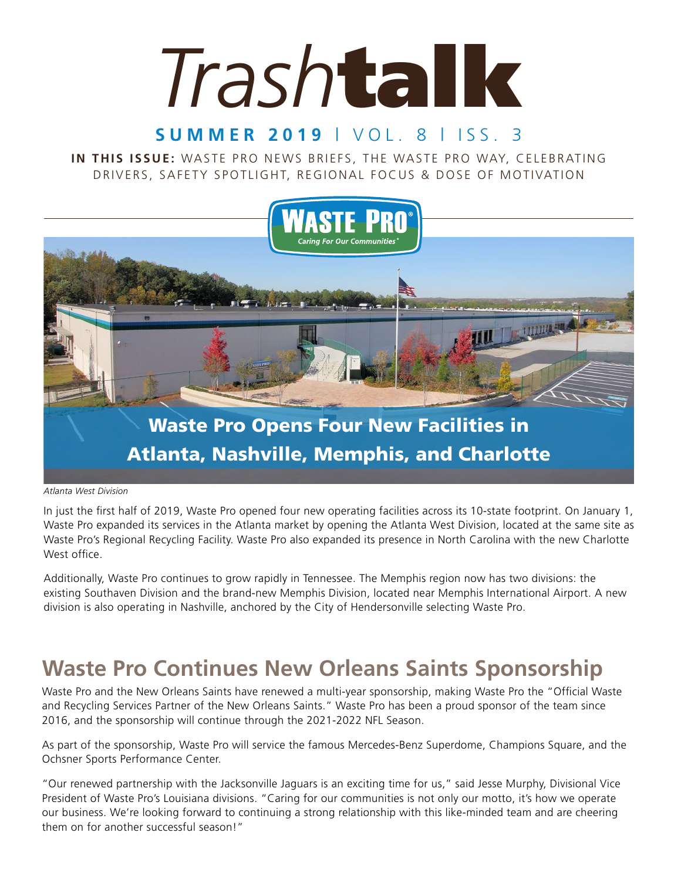# *Trash*talk

### **SUMMER 2019** | VOL. 8 | ISS. 3

IN THIS ISSUE: WASTE PRO NEWS BRIEFS, THE WASTE PRO WAY, CELEBRATING DRIVERS, SAFETY SPOTLIGHT, REGIONAL FOCUS & DOSE OF MOTIVATION



## Atlanta, Nashville, Memphis, and Charlotte

#### *Atlanta West Division*

In just the first half of 2019, Waste Pro opened four new operating facilities across its 10-state footprint. On January 1, Waste Pro expanded its services in the Atlanta market by opening the Atlanta West Division, located at the same site as Waste Pro's Regional Recycling Facility. Waste Pro also expanded its presence in North Carolina with the new Charlotte West office.

Additionally, Waste Pro continues to grow rapidly in Tennessee. The Memphis region now has two divisions: the existing Southaven Division and the brand-new Memphis Division, located near Memphis International Airport. A new division is also operating in Nashville, anchored by the City of Hendersonville selecting Waste Pro.

## **Waste Pro Continues New Orleans Saints Sponsorship**

Waste Pro and the New Orleans Saints have renewed a multi-year sponsorship, making Waste Pro the "Official Waste and Recycling Services Partner of the New Orleans Saints." Waste Pro has been a proud sponsor of the team since 2016, and the sponsorship will continue through the 2021-2022 NFL Season.

As part of the sponsorship, Waste Pro will service the famous Mercedes-Benz Superdome, Champions Square, and the Ochsner Sports Performance Center.

"Our renewed partnership with the Jacksonville Jaguars is an exciting time for us," said Jesse Murphy, Divisional Vice President of Waste Pro's Louisiana divisions. "Caring for our communities is not only our motto, it's how we operate our business. We're looking forward to continuing a strong relationship with this like-minded team and are cheering them on for another successful season!"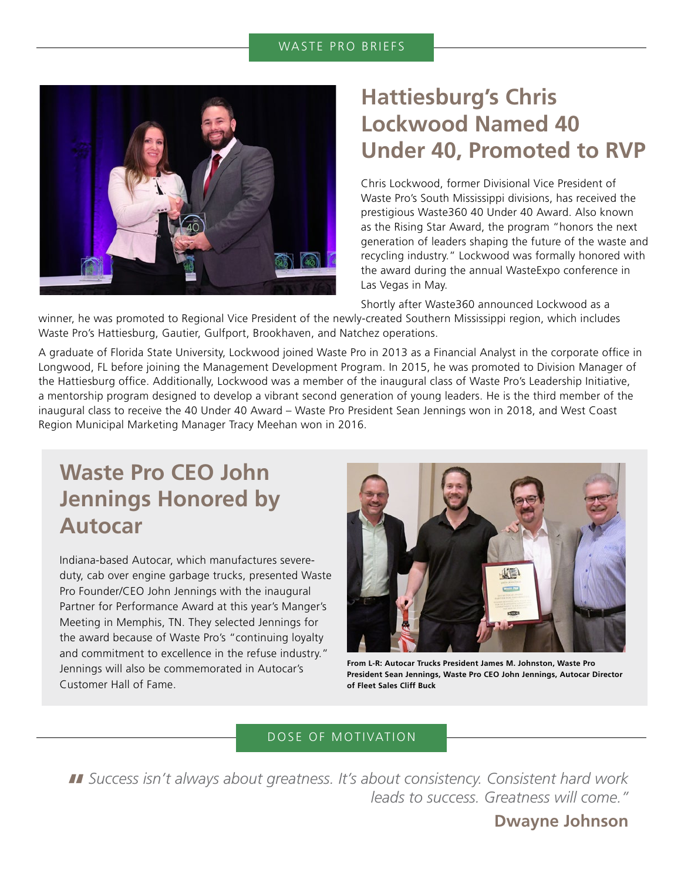#### WASTE PRO BRIEFS



## **Hattiesburg's Chris Lockwood Named 40 Under 40, Promoted to RVP**

Chris Lockwood, former Divisional Vice President of Waste Pro's South Mississippi divisions, has received the prestigious Waste360 40 Under 40 Award. Also known as the Rising Star Award, the program "honors the next generation of leaders shaping the future of the waste and recycling industry." Lockwood was formally honored with the award during the annual WasteExpo conference in Las Vegas in May.

Shortly after Waste360 announced Lockwood as a

winner, he was promoted to Regional Vice President of the newly-created Southern Mississippi region, which includes Waste Pro's Hattiesburg, Gautier, Gulfport, Brookhaven, and Natchez operations.

A graduate of Florida State University, Lockwood joined Waste Pro in 2013 as a Financial Analyst in the corporate office in Longwood, FL before joining the Management Development Program. In 2015, he was promoted to Division Manager of the Hattiesburg office. Additionally, Lockwood was a member of the inaugural class of Waste Pro's Leadership Initiative, a mentorship program designed to develop a vibrant second generation of young leaders. He is the third member of the inaugural class to receive the 40 Under 40 Award – Waste Pro President Sean Jennings won in 2018, and West Coast Region Municipal Marketing Manager Tracy Meehan won in 2016.

## **Waste Pro CEO John Jennings Honored by Autocar**

Indiana-based Autocar, which manufactures severeduty, cab over engine garbage trucks, presented Waste Pro Founder/CEO John Jennings with the inaugural Partner for Performance Award at this year's Manger's Meeting in Memphis, TN. They selected Jennings for the award because of Waste Pro's "continuing loyalty and commitment to excellence in the refuse industry." Jennings will also be commemorated in Autocar's Customer Hall of Fame.



**From L-R: Autocar Trucks President James M. Johnston, Waste Pro President Sean Jennings, Waste Pro CEO John Jennings, Autocar Director of Fleet Sales Cliff Buck**

#### DOSE OF MOTIVATION

**"** *Success isn't always about greatness. It's about consistency. Consistent hard work leads to success. Greatness will come."* 

#### **Dwayne Johnson**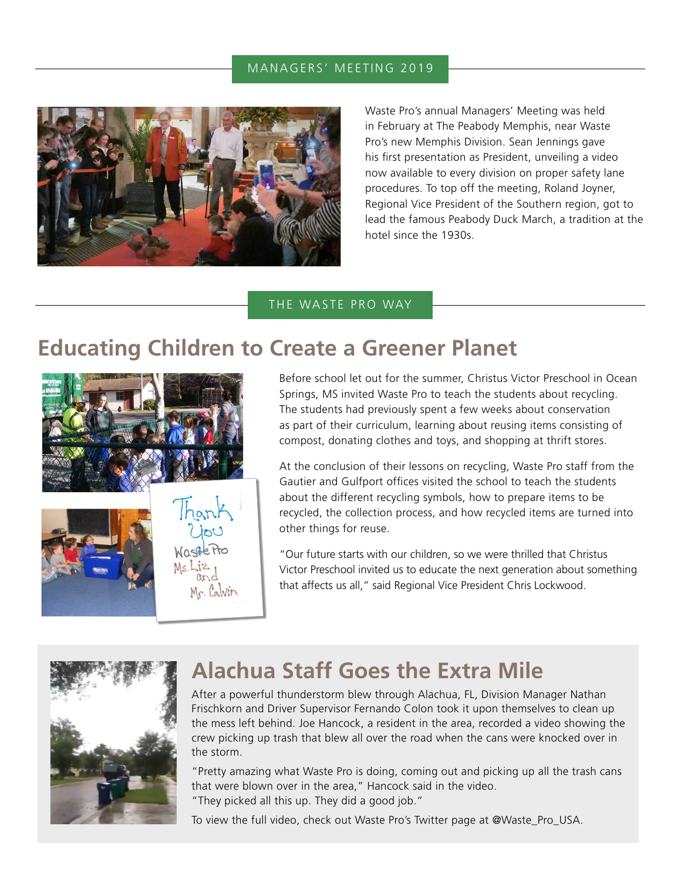#### MANAGERS' MEETING 2019



Waste Pro's annual Managers' Meeting was held in February at The Peabody Memphis, near Waste Pro's new Memphis Division. Sean Jennings gave his first presentation as President, unveiling a video now available to every division on proper safety lane procedures. To top off the meeting, Roland Joyner, Regional Vice President of the Southern region, got to lead the famous Peabody Duck March, a tradition at the hotel since the 1930s.

#### THE WASTE PRO WAY

## **Educating Children to Create a Greener Planet**



Before school let out for the summer, Christus Victor Preschool in Ocean Springs, MS invited Waste Pro to teach the students about recycling. The students had previously spent a few weeks about conservation as part of their curriculum, learning about reusing items consisting of compost, donating clothes and toys, and shopping at thrift stores.

At the conclusion of their lessons on recycling, Waste Pro staff from the Gautier and Gulfport offices visited the school to teach the students about the different recycling symbols, how to prepare items to be recycled, the collection process, and how recycled items are turned into other things for reuse.

"Our future starts with our children, so we were thrilled that Christus Victor Preschool invited us to educate the next generation about something that affects us all," said Regional Vice President Chris Lockwood.



## **Alachua Staff Goes the Extra Mile**

After a powerful thunderstorm blew through Alachua, FL, Division Manager Nathan Frischkorn and Driver Supervisor Fernando Colon took it upon themselves to clean up the mess left behind. Joe Hancock, a resident in the area, recorded a video showing the crew picking up trash that blew all over the road when the cans were knocked over in the storm.

"Pretty amazing what Waste Pro is doing, coming out and picking up all the trash cans that were blown over in the area," Hancock said in the video. "They picked all this up. They did a good job."

To view the full video, check out Waste Pro's Twitter page at @Waste\_Pro\_USA.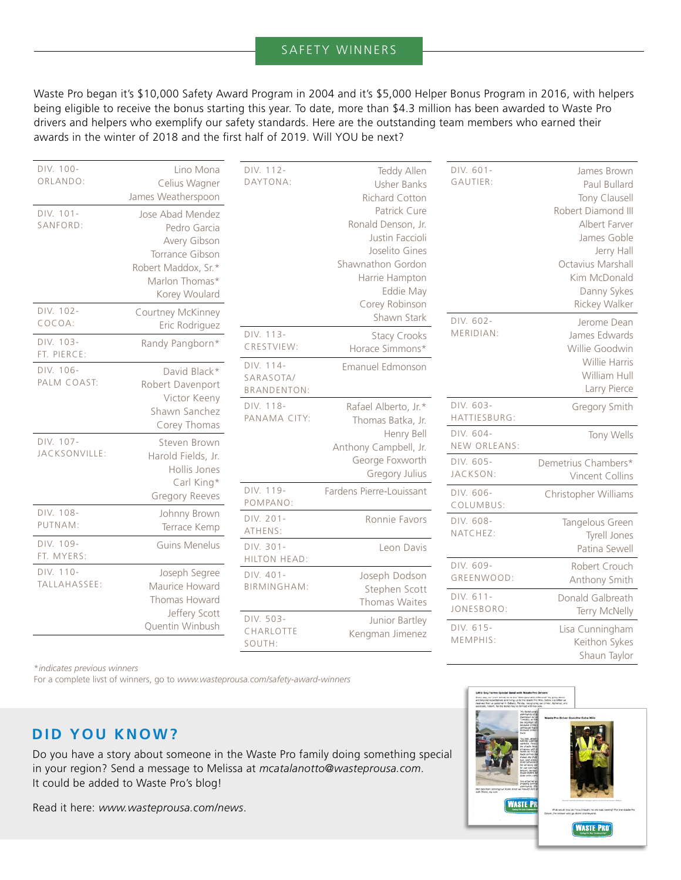#### SAFETY WINNERS

Waste Pro began it's \$10,000 Safety Award Program in 2004 and it's \$5,000 Helper Bonus Program in 2016, with helpers being eligible to receive the bonus starting this year. To date, more than \$4.3 million has been awarded to Waste Pro drivers and helpers who exemplify our safety standards. Here are the outstanding team members who earned their awards in the winter of 2018 and the first half of 2019. Will YOU be next?

| DIV. 100-<br>ORLANDO:<br>DIV. 101-<br>SANFORD: | Lino Mona<br>Celius Wagner<br>James Weatherspoon<br>Jose Abad Mendez<br>Pedro Garcia<br>Avery Gibson<br>Torrance Gibson<br>Robert Maddox, Sr.*<br>Marlon Thomas*<br>Korey Woulard | DIV. 112-<br>DAYTONA:                        | Teddy Allen<br><b>Usher Banks</b><br>Richard Cotton<br>Patrick Cure<br>Ronald Denson, Jr.<br>Justin Faccioli<br>Joselito Gines<br>Shawnathon Gordon<br>Harrie Hampton<br>Eddie May | DIV. 601-<br>GAUTIER:     | James Brown<br>Paul Bullard<br>Tony Clausell<br>Robert Diamond III<br>Albert Farver<br>James Goble<br>Jerry Hall<br>Octavius Marshall<br>Kim McDonald<br>Danny Sykes |
|------------------------------------------------|-----------------------------------------------------------------------------------------------------------------------------------------------------------------------------------|----------------------------------------------|------------------------------------------------------------------------------------------------------------------------------------------------------------------------------------|---------------------------|----------------------------------------------------------------------------------------------------------------------------------------------------------------------|
| DIV. 102-<br>COCOA:                            | Courtney McKinney<br>Eric Rodriguez                                                                                                                                               |                                              | Corey Robinson<br>Shawn Stark                                                                                                                                                      | DIV. 602-                 | Rickey Walker<br>Jerome Dean                                                                                                                                         |
| DIV. 103-<br>FT. PIERCE:                       | Randy Pangborn*                                                                                                                                                                   | DIV. 113-<br>CRESTVIEW:                      | <b>Stacy Crooks</b><br>Horace Simmons*                                                                                                                                             | MERIDIAN:                 | James Edwards<br>Willie Goodwin                                                                                                                                      |
| DIV. 106-<br>PALM COAST:                       | David Black*<br>Robert Davenport<br>Victor Keeny<br>Shawn Sanchez<br>Corey Thomas                                                                                                 | DIV. 114-<br>SARASOTA/<br><b>BRANDENTON:</b> | Emanuel Edmonson                                                                                                                                                                   |                           | Willie Harris<br>William Hull<br>Larry Pierce                                                                                                                        |
|                                                |                                                                                                                                                                                   | DIV. 118-<br>PANAMA CITY:                    | Rafael Alberto, Jr.*<br>Thomas Batka, Jr.                                                                                                                                          | DIV. 603-<br>HATTIESBURG: | Gregory Smith                                                                                                                                                        |
| DIV. 107-<br>JACKSONVILLE:                     | Steven Brown<br>Harold Fields, Jr.<br>Hollis Jones<br>Carl King*<br>Gregory Reeves                                                                                                |                                              | Henry Bell<br>Anthony Campbell, Jr.<br>George Foxworth<br>Gregory Julius                                                                                                           | DIV. 604-<br>NEW ORLEANS: | Tony Wells                                                                                                                                                           |
|                                                |                                                                                                                                                                                   |                                              |                                                                                                                                                                                    | DIV. 605-<br>JACKSON:     | Demetrius Chambers*<br>Vincent Collins                                                                                                                               |
|                                                |                                                                                                                                                                                   | DIV. 119-<br>POMPANO:                        | Fardens Pierre-Louissant                                                                                                                                                           | DIV. 606-<br>COLUMBUS:    | Christopher Williams                                                                                                                                                 |
| DIV. 108-<br>PUTNAM:                           | Johnny Brown<br>Terrace Kemp                                                                                                                                                      | DIV. 201-<br>ATHENS:                         | Ronnie Favors                                                                                                                                                                      | DIV. 608-<br>NATCHEZ:     | Tangelous Green<br>Tyrell Jones                                                                                                                                      |
| DIV. 109-<br>FT. MYERS:                        | <b>Guins Menelus</b>                                                                                                                                                              | DIV. 301-<br>HILTON HEAD:                    | Leon Davis                                                                                                                                                                         |                           | Patina Sewell                                                                                                                                                        |
| DIV. 110-<br>TALLAHASSEE:                      | Joseph Segree<br>Maurice Howard<br>Thomas Howard<br>Jeffery Scott<br>Quentin Winbush                                                                                              | DIV. 401-<br><b>BIRMINGHAM:</b>              | Joseph Dodson<br>Stephen Scott<br>Thomas Waites                                                                                                                                    | DIV. 609-<br>GREENWOOD:   | Robert Crouch<br>Anthony Smith                                                                                                                                       |
|                                                |                                                                                                                                                                                   |                                              |                                                                                                                                                                                    | DIV. 611-<br>JONESBORO:   | Donald Galbreath<br>Terry McNelly                                                                                                                                    |
|                                                |                                                                                                                                                                                   | DIV. 503-<br>CHARLOTTE<br>SOUTH:             | Junior Bartley<br>Kengman Jimenez                                                                                                                                                  | DIV. 615-<br>MEMPHIS:     | Lisa Cunningham<br>Keithon Sykes<br>Shaun Taylor                                                                                                                     |

\**indicates previous winners*

For a complete livst of winners, go to *www.wasteprousa.com/safety-award-winners*

#### **DID YOU KNOW?**

Do you have a story about someone in the Waste Pro family doing something special in your region? Send a message to Melissa at *mcatalanotto@wasteprousa.com*. It could be added to Waste Pro's blog!

Read it here: *www.wasteprousa.com/news*.

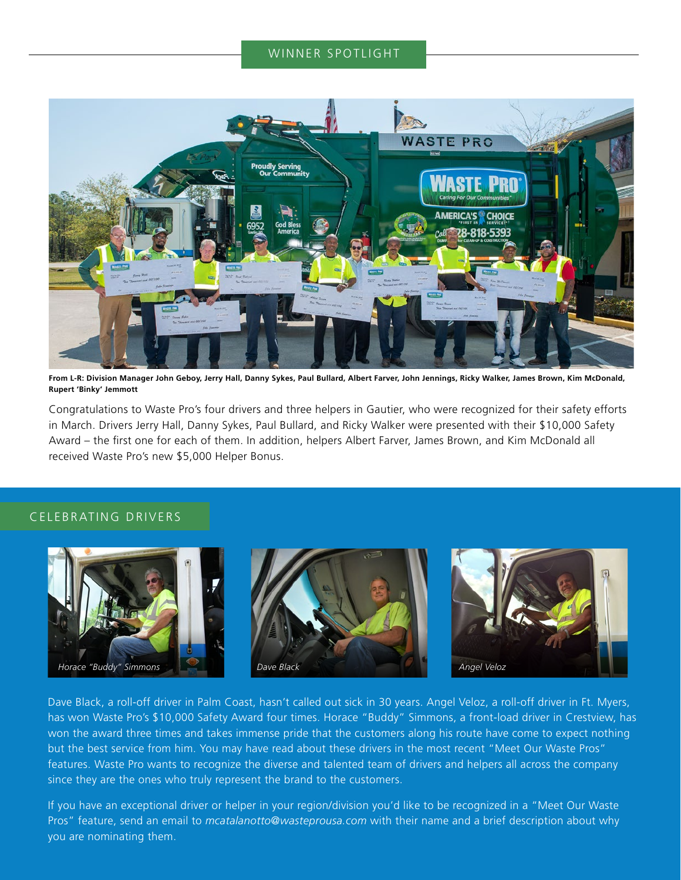#### WINNER SPOTLIGHT



**From L-R: Division Manager John Geboy, Jerry Hall, Danny Sykes, Paul Bullard, Albert Farver, John Jennings, Ricky Walker, James Brown, Kim McDonald, Rupert 'Binky' Jemmott**

Congratulations to Waste Pro's four drivers and three helpers in Gautier, who were recognized for their safety efforts in March. Drivers Jerry Hall, Danny Sykes, Paul Bullard, and Ricky Walker were presented with their \$10,000 Safety Award – the first one for each of them. In addition, helpers Albert Farver, James Brown, and Kim McDonald all received Waste Pro's new \$5,000 Helper Bonus.

#### CELEBRATING DRIVERS



Dave Black, a roll-off driver in Palm Coast, hasn't called out sick in 30 years. Angel Veloz, a roll-off driver in Ft. Myers, has won Waste Pro's \$10,000 Safety Award four times. Horace "Buddy" Simmons, a front-load driver in Crestview, has won the award three times and takes immense pride that the customers along his route have come to expect nothing but the best service from him. You may have read about these drivers in the most recent "Meet Our Waste Pros" features. Waste Pro wants to recognize the diverse and talented team of drivers and helpers all across the company since they are the ones who truly represent the brand to the customers.

If you have an exceptional driver or helper in your region/division you'd like to be recognized in a "Meet Our Waste Pros" feature, send an email to *mcatalanotto@wasteprousa.com* with their name and a brief description about why you are nominating them.